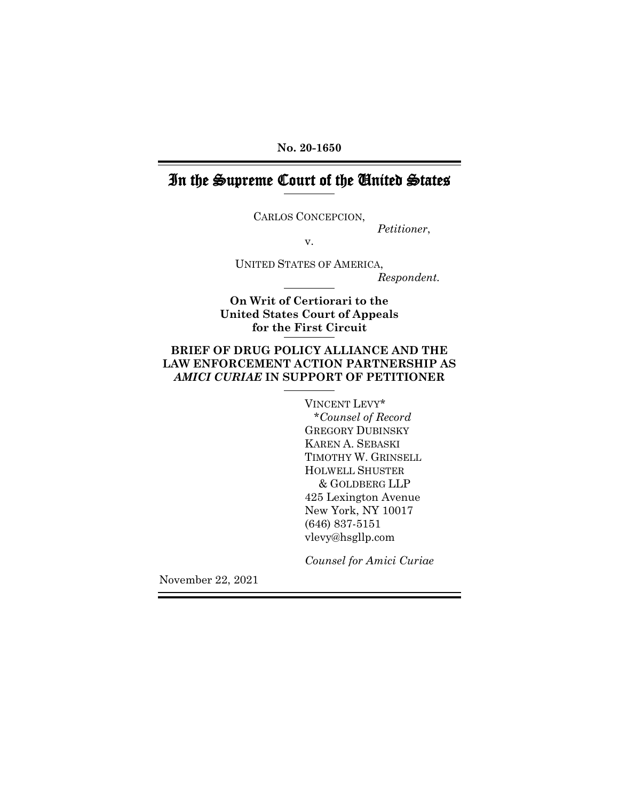**No. 20-1650**

# In the Supreme Court of the United States

CARLOS CONCEPCION,

*Petitioner*,

v.

UNITED STATES OF AMERICA, *Respondent.*

**On Writ of Certiorari to the United States Court of Appeals for the First Circuit**

## **BRIEF OF DRUG POLICY ALLIANCE AND THE LAW ENFORCEMENT ACTION PARTNERSHIP AS**  *AMICI CURIAE* **IN SUPPORT OF PETITIONER**

VINCENT LEVY\* \**Counsel of Record* GREGORY DUBINSKY KAREN A. SEBASKI TIMOTHY W. GRINSELL HOLWELL SHUSTER & GOLDBERG LLP 425 Lexington Avenue New York, NY 10017 (646) 837-5151 vlevy@hsgllp.com

*Counsel for Amici Curiae*

November 22, 2021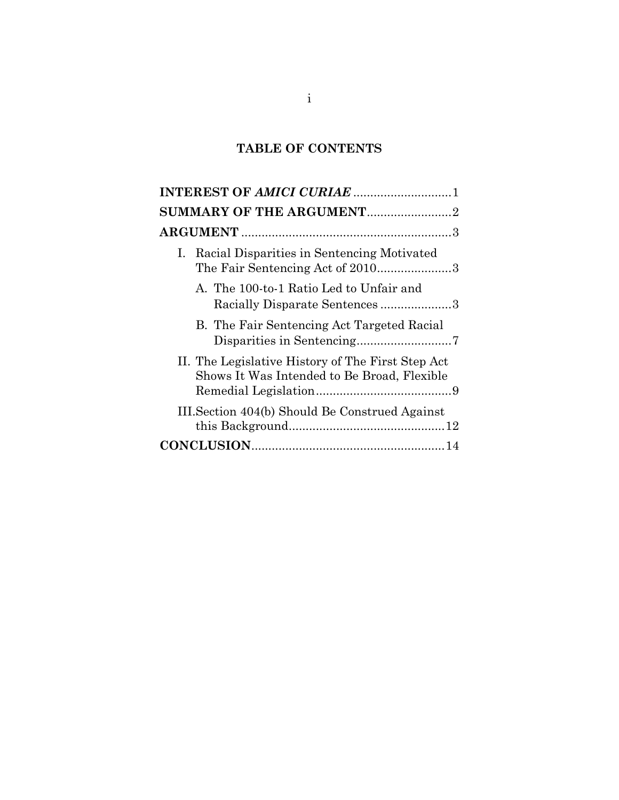## **TABLE OF CONTENTS**

| SUMMARY OF THE ARGUMENT2                                                                         |
|--------------------------------------------------------------------------------------------------|
|                                                                                                  |
| I. Racial Disparities in Sentencing Motivated<br>The Fair Sentencing Act of 20103                |
| A. The 100-to-1 Ratio Led to Unfair and<br>Racially Disparate Sentences3                         |
| B. The Fair Sentencing Act Targeted Racial                                                       |
| II. The Legislative History of The First Step Act<br>Shows It Was Intended to Be Broad, Flexible |
| III. Section 404(b) Should Be Construed Against                                                  |
|                                                                                                  |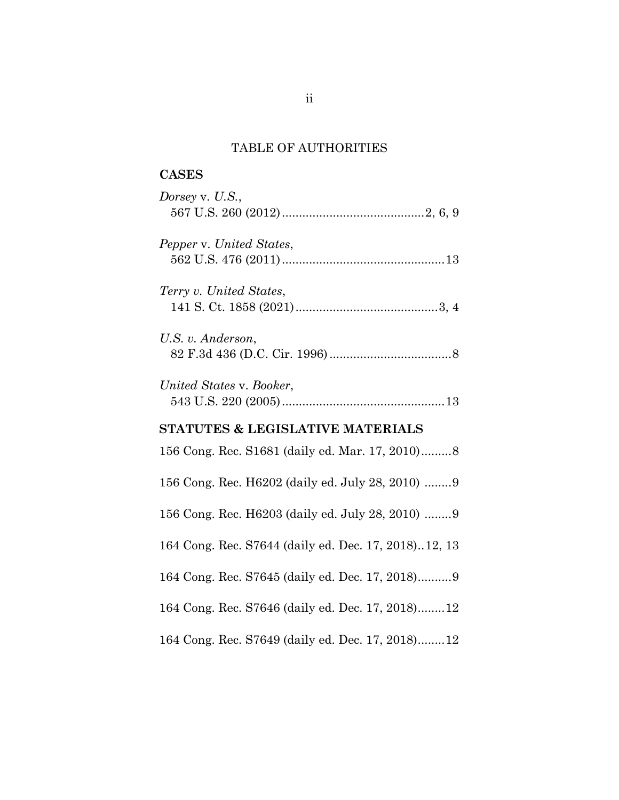# TABLE OF AUTHORITIES

| <b>CASES</b>                                         |
|------------------------------------------------------|
| Dorsey v. U.S.,                                      |
| Pepper v. United States,                             |
| Terry v. United States,                              |
| U.S. v. Anderson,                                    |
| United States v. Booker,                             |
| STATUTES & LEGISLATIVE MATERIALS                     |
| 156 Cong. Rec. S1681 (daily ed. Mar. 17, 2010)8      |
| 156 Cong. Rec. H6202 (daily ed. July 28, 2010) 9     |
| 156 Cong. Rec. H6203 (daily ed. July 28, 2010) 9     |
| 164 Cong. Rec. S7644 (daily ed. Dec. 17, 2018)12, 13 |
| 164 Cong. Rec. S7645 (daily ed. Dec. 17, 2018)9      |
| 164 Cong. Rec. S7646 (daily ed. Dec. 17, 2018)12     |
| 164 Cong. Rec. S7649 (daily ed. Dec. 17, 2018)12     |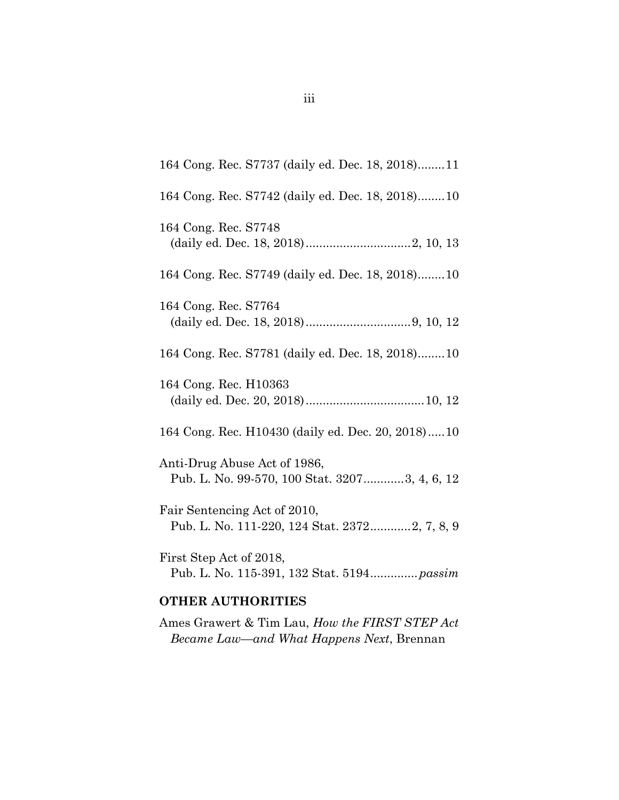| 164 Cong. Rec. S7737 (daily ed. Dec. 18, 2018)11                              |
|-------------------------------------------------------------------------------|
| 164 Cong. Rec. S7742 (daily ed. Dec. 18, 2018)10                              |
| 164 Cong. Rec. S7748                                                          |
| 164 Cong. Rec. S7749 (daily ed. Dec. 18, 2018)10                              |
| 164 Cong. Rec. S7764                                                          |
| 164 Cong. Rec. S7781 (daily ed. Dec. 18, 2018)10                              |
| 164 Cong. Rec. H10363                                                         |
| 164 Cong. Rec. H10430 (daily ed. Dec. 20, 2018)10                             |
| Anti-Drug Abuse Act of 1986,<br>Pub. L. No. 99-570, 100 Stat. 32073, 4, 6, 12 |
| Fair Sentencing Act of 2010,<br>Pub. L. No. 111-220, 124 Stat. 23722, 7, 8, 9 |
| First Step Act of 2018,<br>Pub. L. No. 115-391, 132 Stat. 5194 passim         |
| OMIIRD AIMIIODIMIRC                                                           |

#### **OTHER AUTHORITIES**

Ames Grawert & Tim Lau, *How the FIRST STEP Act Became Law—and What Happens Next*, Brennan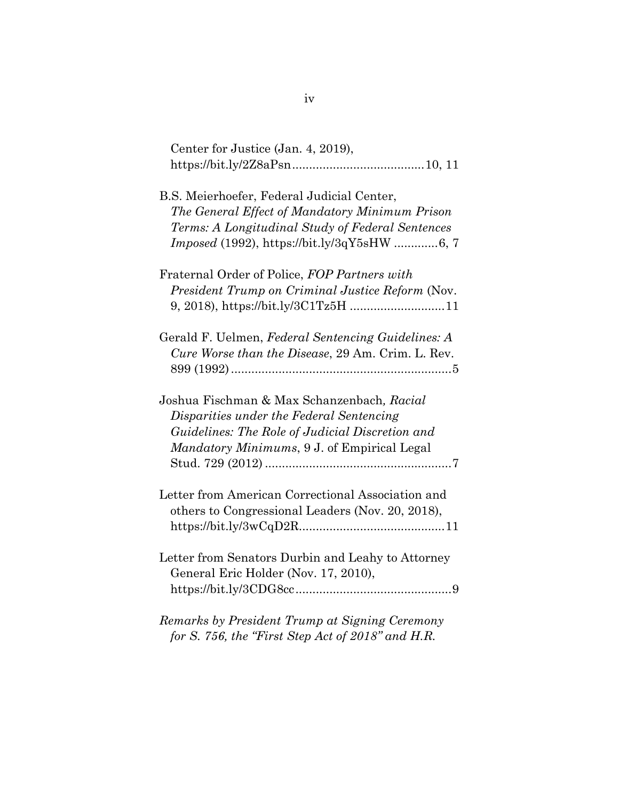| Center for Justice (Jan. 4, 2019),                                                                                                                                                                     |
|--------------------------------------------------------------------------------------------------------------------------------------------------------------------------------------------------------|
| B.S. Meierhoefer, Federal Judicial Center,<br>The General Effect of Mandatory Minimum Prison<br>Terms: A Longitudinal Study of Federal Sentences<br><i>Imposed</i> (1992), https://bit.ly/3qY5sHW 6, 7 |
| Fraternal Order of Police, FOP Partners with<br>President Trump on Criminal Justice Reform (Nov.<br>9, 2018), https://bit.ly/3C1Tz5H 11                                                                |
| Gerald F. Uelmen, Federal Sentencing Guidelines: A<br>Cure Worse than the Disease, 29 Am. Crim. L. Rev.                                                                                                |
| Joshua Fischman & Max Schanzenbach, Racial<br>Disparities under the Federal Sentencing<br>Guidelines: The Role of Judicial Discretion and<br>Mandatory Minimums, 9 J. of Empirical Legal               |
| Letter from American Correctional Association and<br>others to Congressional Leaders (Nov. 20, 2018),                                                                                                  |
| Letter from Senators Durbin and Leahy to Attorney<br>General Eric Holder (Nov. 17, 2010),                                                                                                              |
| Remarks by President Trump at Signing Ceremony<br>for S. 756, the "First Step Act of 2018" and H.R.                                                                                                    |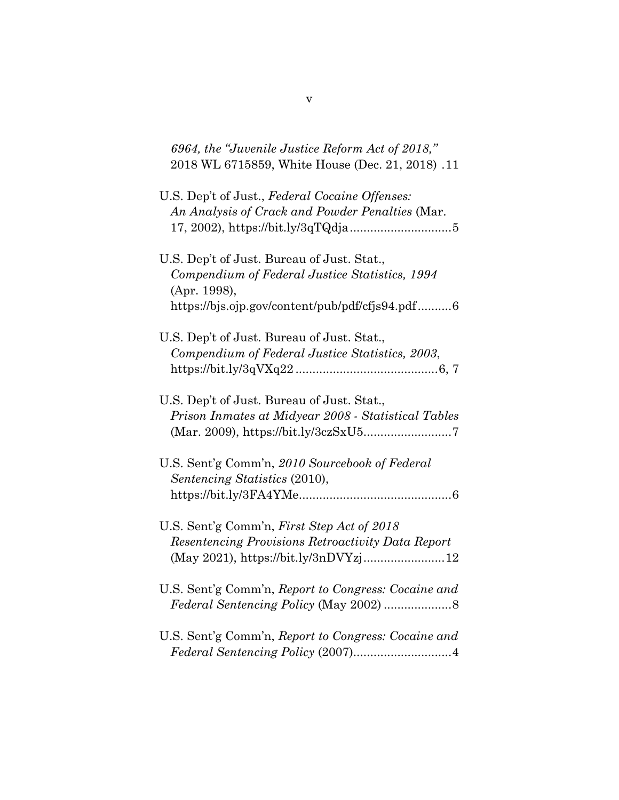| 6964, the "Juvenile Justice Reform Act of 2018,"<br>2018 WL 6715859, White House (Dec. 21, 2018). 11                                                            |
|-----------------------------------------------------------------------------------------------------------------------------------------------------------------|
| U.S. Dep't of Just., Federal Cocaine Offenses:<br>An Analysis of Crack and Powder Penalties (Mar.                                                               |
| U.S. Dep't of Just. Bureau of Just. Stat.,<br>Compendium of Federal Justice Statistics, 1994<br>(Apr. 1998),<br>https://bjs.ojp.gov/content/pub/pdf/cfjs94.pdf6 |
| U.S. Dep't of Just. Bureau of Just. Stat.,<br>Compendium of Federal Justice Statistics, 2003,                                                                   |
| U.S. Dep't of Just. Bureau of Just. Stat.,<br>Prison Inmates at Midyear 2008 - Statistical Tables                                                               |
| U.S. Sent'g Comm'n, 2010 Sourcebook of Federal<br>Sentencing Statistics (2010),                                                                                 |
| U.S. Sent'g Comm'n, First Step Act of 2018<br>Resentencing Provisions Retroactivity Data Report<br>(May 2021), https://bit.ly/3nDVYzj12                         |
| U.S. Sent'g Comm'n, Report to Congress: Cocaine and                                                                                                             |
| U.S. Sent'g Comm'n, Report to Congress: Cocaine and                                                                                                             |

v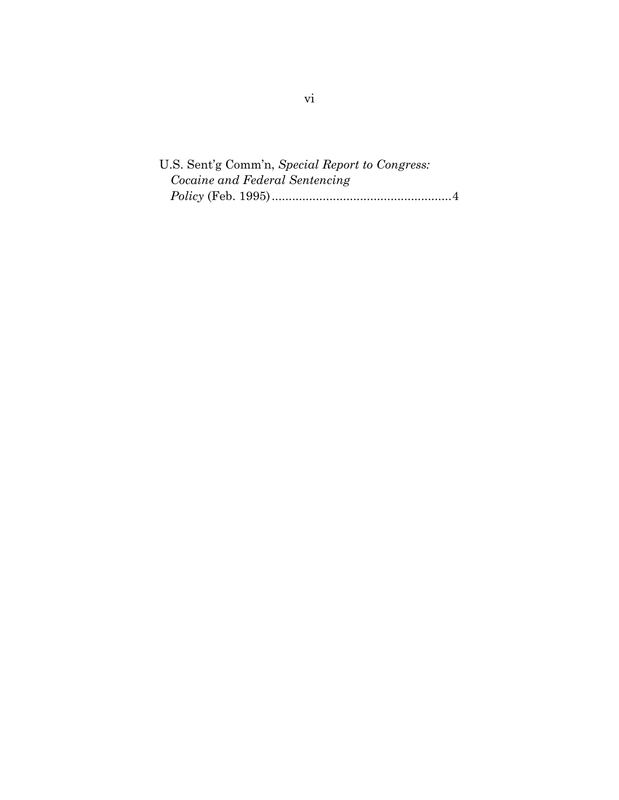U.S. Sent'g Comm'n, *Special Report to Congress: Cocaine and Federal Sentencing Policy* (Feb. 1995).....................................................4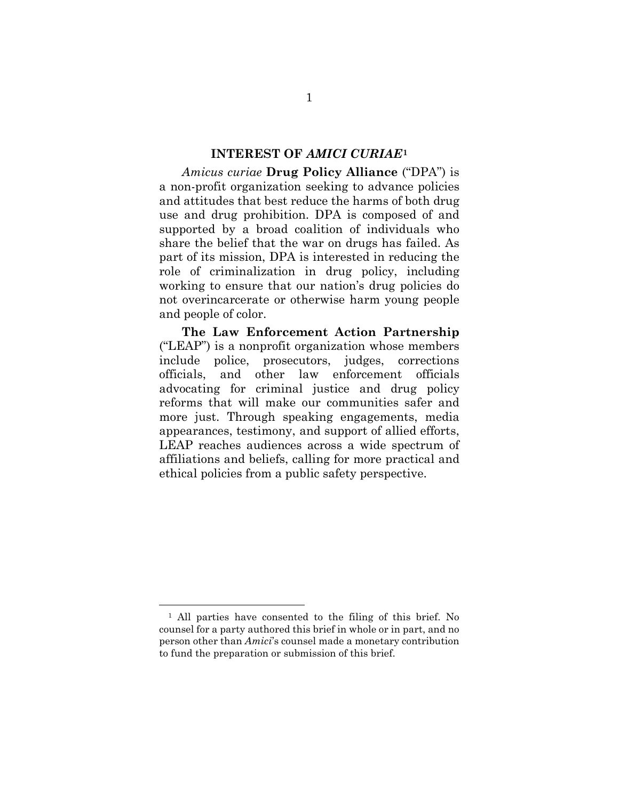#### **INTEREST OF** *AMICI CURIAE***[1](#page-7-1)**

<span id="page-7-0"></span>*Amicus curiae* **Drug Policy Alliance** ("DPA") is a non-profit organization seeking to advance policies and attitudes that best reduce the harms of both drug use and drug prohibition. DPA is composed of and supported by a broad coalition of individuals who share the belief that the war on drugs has failed. As part of its mission, DPA is interested in reducing the role of criminalization in drug policy, including working to ensure that our nation's drug policies do not overincarcerate or otherwise harm young people and people of color.

**The Law Enforcement Action Partnership** ("LEAP") is a nonprofit organization whose members include police, prosecutors, judges, corrections officials, and other law enforcement officials advocating for criminal justice and drug policy reforms that will make our communities safer and more just. Through speaking engagements, media appearances, testimony, and support of allied efforts, LEAP reaches audiences across a wide spectrum of affiliations and beliefs, calling for more practical and ethical policies from a public safety perspective.

<span id="page-7-1"></span><sup>1</sup> All parties have consented to the filing of this brief. No counsel for a party authored this brief in whole or in part, and no person other than *Amici*'s counsel made a monetary contribution to fund the preparation or submission of this brief.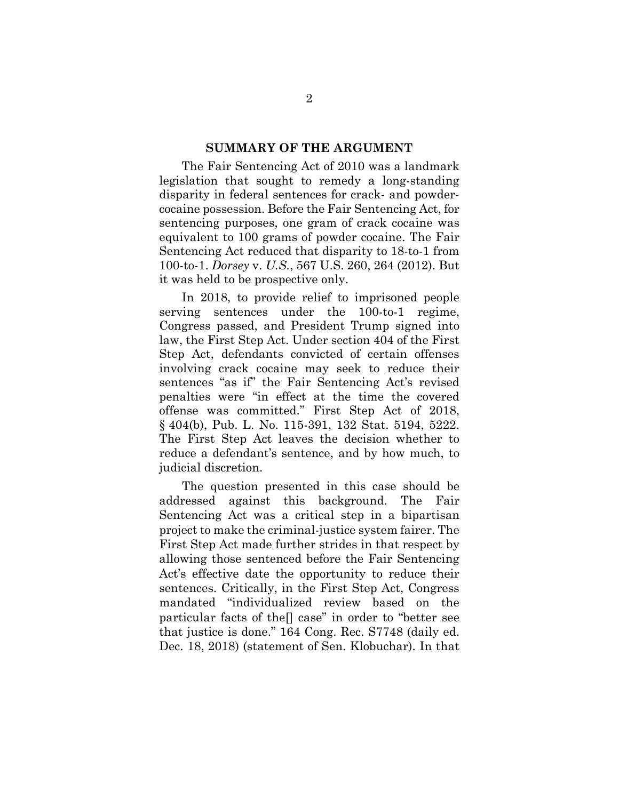#### **SUMMARY OF THE ARGUMENT**

<span id="page-8-0"></span>The Fair Sentencing Act of 2010 was a landmark legislation that sought to remedy a long-standing disparity in federal sentences for crack- and powdercocaine possession. Before the Fair Sentencing Act, for sentencing purposes, one gram of crack cocaine was equivalent to 100 grams of powder cocaine. The Fair Sentencing Act reduced that disparity to 18-to-1 from 100-to-1. *Dorsey* v. *U.S.*, 567 U.S. 260, 264 (2012). But it was held to be prospective only.

In 2018, to provide relief to imprisoned people serving sentences under the 100-to-1 regime, Congress passed, and President Trump signed into law, the First Step Act. Under section 404 of the First Step Act, defendants convicted of certain offenses involving crack cocaine may seek to reduce their sentences "as if" the Fair Sentencing Act's revised penalties were "in effect at the time the covered offense was committed." First Step Act of 2018, § 404(b), Pub. L. No. 115-391, 132 Stat. 5194, 5222. The First Step Act leaves the decision whether to reduce a defendant's sentence, and by how much, to judicial discretion.

The question presented in this case should be addressed against this background. The Fair Sentencing Act was a critical step in a bipartisan project to make the criminal-justice system fairer. The First Step Act made further strides in that respect by allowing those sentenced before the Fair Sentencing Act's effective date the opportunity to reduce their sentences. Critically, in the First Step Act, Congress mandated "individualized review based on the particular facts of the[] case" in order to "better see that justice is done." 164 Cong. Rec. S7748 (daily ed. Dec. 18, 2018) (statement of Sen. Klobuchar). In that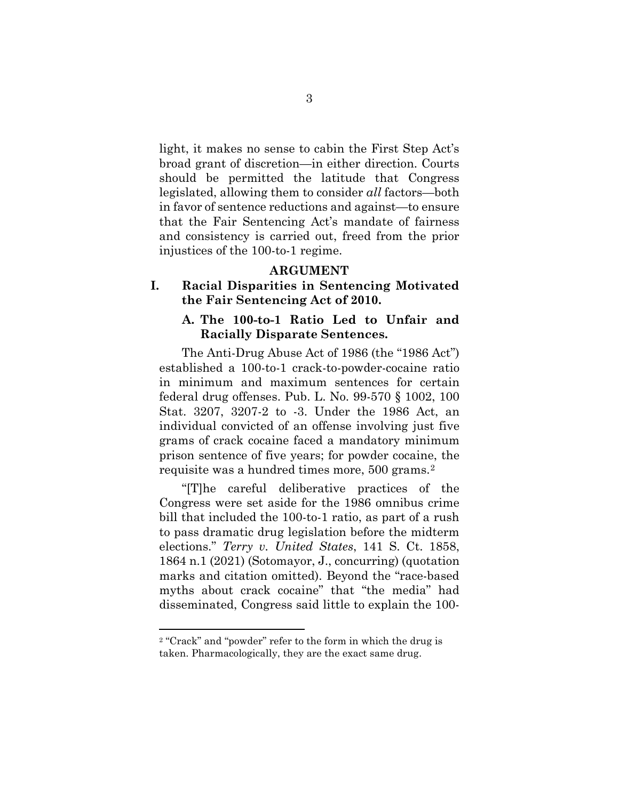light, it makes no sense to cabin the First Step Act's broad grant of discretion—in either direction. Courts should be permitted the latitude that Congress legislated, allowing them to consider *all* factors—both in favor of sentence reductions and against—to ensure that the Fair Sentencing Act's mandate of fairness and consistency is carried out, freed from the prior injustices of the 100-to-1 regime.

#### **ARGUMENT**

## <span id="page-9-1"></span><span id="page-9-0"></span>**I. Racial Disparities in Sentencing Motivated the Fair Sentencing Act of 2010.**

## <span id="page-9-2"></span>**A. The 100-to-1 Ratio Led to Unfair and Racially Disparate Sentences.**

The Anti-Drug Abuse Act of 1986 (the "1986 Act") established a 100-to-1 crack-to-powder-cocaine ratio in minimum and maximum sentences for certain federal drug offenses. Pub. L. No. 99-570 § 1002, 100 Stat. 3207, 3207-2 to -3. Under the 1986 Act, an individual convicted of an offense involving just five grams of crack cocaine faced a mandatory minimum prison sentence of five years; for powder cocaine, the requisite was a hundred times more, 500 grams.[2](#page-9-3)

"[T]he careful deliberative practices of the Congress were set aside for the 1986 omnibus crime bill that included the 100-to-1 ratio, as part of a rush to pass dramatic drug legislation before the midterm elections." *Terry v. United States*, 141 S. Ct. 1858, 1864 n.1 (2021) (Sotomayor, J., concurring) (quotation marks and citation omitted). Beyond the "race-based myths about crack cocaine" that "the media" had disseminated, Congress said little to explain the 100-

<span id="page-9-3"></span><sup>2</sup> "Crack" and "powder" refer to the form in which the drug is taken. Pharmacologically, they are the exact same drug.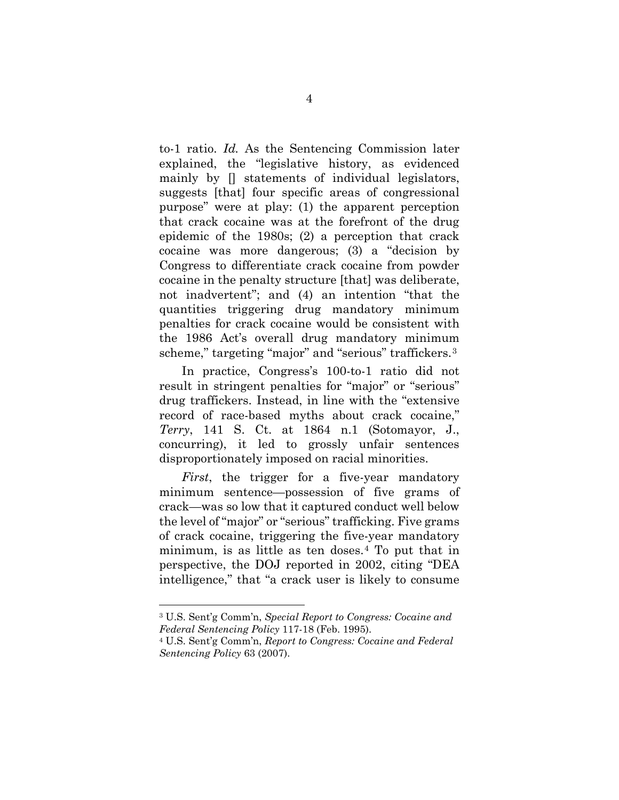to-1 ratio. *Id.* As the Sentencing Commission later explained, the "legislative history, as evidenced mainly by [] statements of individual legislators, suggests [that] four specific areas of congressional purpose" were at play: (1) the apparent perception that crack cocaine was at the forefront of the drug epidemic of the 1980s; (2) a perception that crack cocaine was more dangerous; (3) a "decision by Congress to differentiate crack cocaine from powder cocaine in the penalty structure [that] was deliberate, not inadvertent"; and (4) an intention "that the quantities triggering drug mandatory minimum penalties for crack cocaine would be consistent with the 1986 Act's overall drug mandatory minimum scheme," targeting "major" and "serious" traffickers.<sup>[3](#page-10-0)</sup>

In practice, Congress's 100-to-1 ratio did not result in stringent penalties for "major" or "serious" drug traffickers. Instead, in line with the "extensive record of race-based myths about crack cocaine," *Terry*, 141 S. Ct. at 1864 n.1 (Sotomayor, J., concurring), it led to grossly unfair sentences disproportionately imposed on racial minorities.

*First*, the trigger for a five-year mandatory minimum sentence—possession of five grams of crack—was so low that it captured conduct well below the level of "major" or "serious" trafficking. Five grams of crack cocaine, triggering the five-year mandatory minimum, is as little as ten doses.[4](#page-11-0) To put that in perspective, the DOJ reported in 2002, citing "DEA intelligence," that "a crack user is likely to consume

<sup>3</sup> U.S. Sent'g Comm'n, *Special Report to Congress: Cocaine and Federal Sentencing Policy* 117-18 (Feb. 1995).

<span id="page-10-0"></span><sup>4</sup> U.S. Sent'g Comm'n, *Report to Congress: Cocaine and Federal Sentencing Policy* 63 (2007).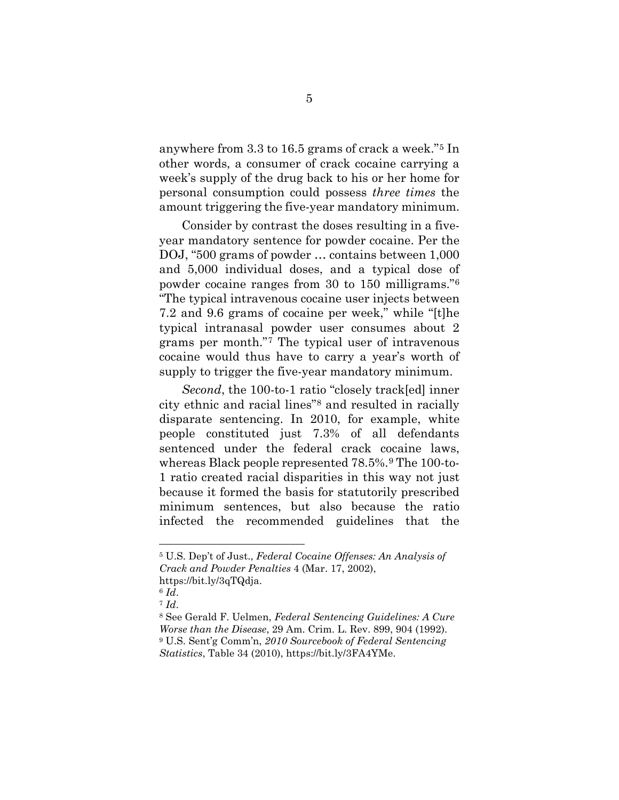anywhere from 3.3 to 16.5 grams of crack a week."[5](#page-11-1) In other words, a consumer of crack cocaine carrying a week's supply of the drug back to his or her home for personal consumption could possess *three times* the amount triggering the five-year mandatory minimum.

Consider by contrast the doses resulting in a fiveyear mandatory sentence for powder cocaine. Per the DOJ, "500 grams of powder … contains between 1,000 and 5,000 individual doses, and a typical dose of powder cocaine ranges from 30 to 150 milligrams."[6](#page-11-2) "The typical intravenous cocaine user injects between 7.2 and 9.6 grams of cocaine per week," while "[t]he typical intranasal powder user consumes about 2 grams per month."[7](#page-12-0) The typical user of intravenous cocaine would thus have to carry a year's worth of supply to trigger the five-year mandatory minimum.

*Second*, the 100-to-1 ratio "closely track[ed] inner city ethnic and racial lines["8](#page-12-1) and resulted in racially disparate sentencing. In 2010, for example, white people constituted just 7.3% of all defendants sentenced under the federal crack cocaine laws, whereas Black people represented 78.5%.[9](#page-12-2) The 100-to-1 ratio created racial disparities in this way not just because it formed the basis for statutorily prescribed minimum sentences, but also because the ratio infected the recommended guidelines that the

<span id="page-11-0"></span><sup>5</sup> U.S. Dep't of Just., *Federal Cocaine Offenses: An Analysis of Crack and Powder Penalties* 4 (Mar. 17, 2002), https://bit.ly/3qTQdja.

<span id="page-11-1"></span> $6$   $Id.$ 

<sup>7</sup> *Id*.

<span id="page-11-2"></span><sup>8</sup> See Gerald F. Uelmen, *Federal Sentencing Guidelines: A Cure Worse than the Disease*, 29 Am. Crim. L. Rev. 899, 904 (1992). <sup>9</sup> U.S. Sent'g Comm'n, *2010 Sourcebook of Federal Sentencing Statistics*, Table 34 (2010), https://bit.ly/3FA4YMe.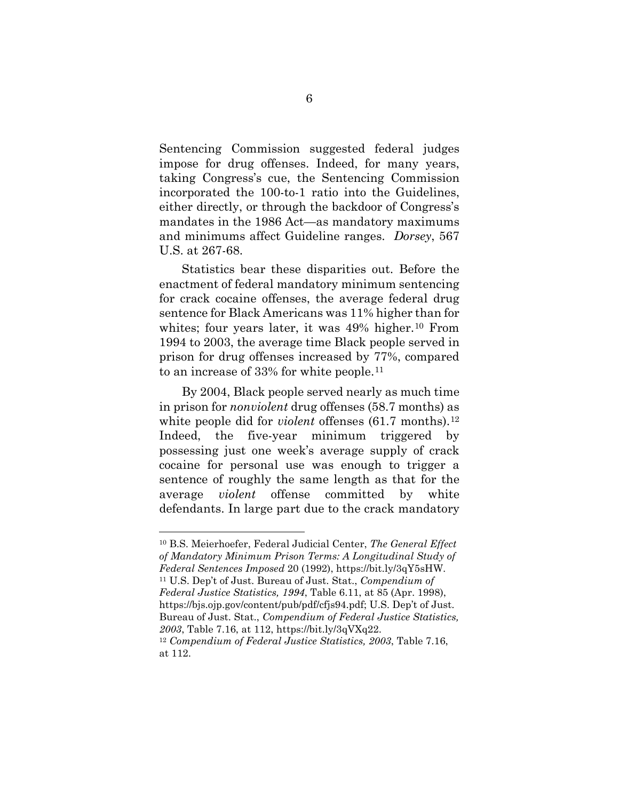Sentencing Commission suggested federal judges impose for drug offenses. Indeed, for many years, taking Congress's cue, the Sentencing Commission incorporated the 100-to-1 ratio into the Guidelines, either directly, or through the backdoor of Congress's mandates in the 1986 Act—as mandatory maximums and minimums affect Guideline ranges. *Dorsey*, 567 U.S. at 267-68.

Statistics bear these disparities out. Before the enactment of federal mandatory minimum sentencing for crack cocaine offenses, the average federal drug sentence for Black Americans was 11% higher than for whites; four years later, it was 49% higher.<sup>[10](#page-13-1)</sup> From 1994 to 2003, the average time Black people served in prison for drug offenses increased by 77%, compared to an increase of 33% for white people.[11](#page-13-2)

By 2004, Black people served nearly as much time in prison for *nonviolent* drug offenses (58.7 months) as white people did for *violent* offenses (61.7 months).<sup>[12](#page-13-3)</sup> Indeed, the five-year minimum triggered by possessing just one week's average supply of crack cocaine for personal use was enough to trigger a sentence of roughly the same length as that for the average *violent* offense committed by white defendants. In large part due to the crack mandatory

<span id="page-12-2"></span><span id="page-12-1"></span><span id="page-12-0"></span><sup>10</sup> B.S. Meierhoefer, Federal Judicial Center, *The General Effect of Mandatory Minimum Prison Terms: A Longitudinal Study of Federal Sentences Imposed* 20 (1992), https://bit.ly/3qY5sHW. <sup>11</sup> U.S. Dep't of Just. Bureau of Just. Stat., *Compendium of Federal Justice Statistics, 1994*, Table 6.11, at 85 (Apr. 1998), https://bjs.ojp.gov/content/pub/pdf/cfjs94.pdf; U.S. Dep't of Just. Bureau of Just. Stat., *Compendium of Federal Justice Statistics, 2003*, Table 7.16, at 112, https://bit.ly/3qVXq22. <sup>12</sup> *Compendium of Federal Justice Statistics, 2003*, Table 7.16, at 112.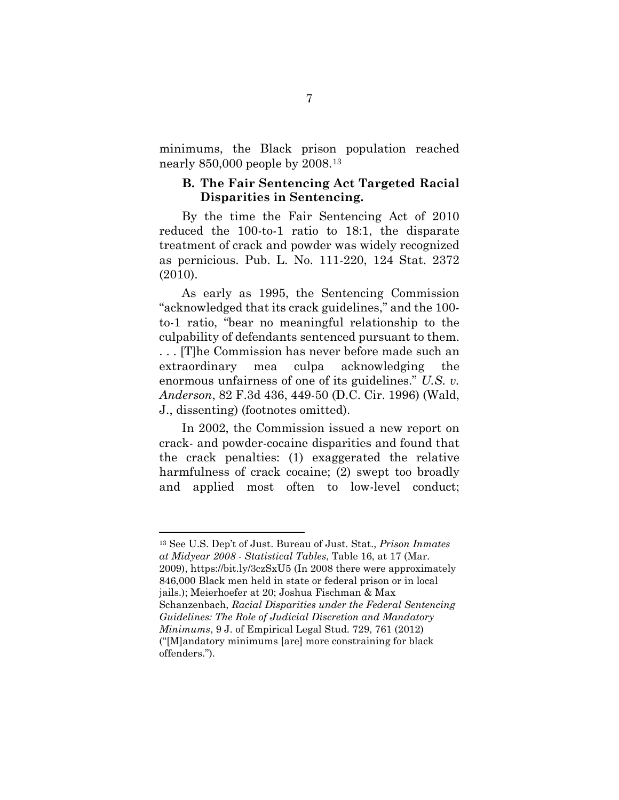minimums, the Black prison population reached nearly 850,000 people by 2008.[13](#page-14-0)

## <span id="page-13-0"></span>**B. The Fair Sentencing Act Targeted Racial Disparities in Sentencing.**

By the time the Fair Sentencing Act of 2010 reduced the 100-to-1 ratio to 18:1, the disparate treatment of crack and powder was widely recognized as pernicious. Pub. L. No. 111-220, 124 Stat. 2372 (2010).

As early as 1995, the Sentencing Commission "acknowledged that its crack guidelines," and the 100 to-1 ratio, "bear no meaningful relationship to the culpability of defendants sentenced pursuant to them. . . . [T]he Commission has never before made such an extraordinary mea culpa acknowledging the enormous unfairness of one of its guidelines." *U.S. v. Anderson*, 82 F.3d 436, 449-50 (D.C. Cir. 1996) (Wald, J., dissenting) (footnotes omitted).

<span id="page-13-2"></span><span id="page-13-1"></span>In 2002, the Commission issued a new report on crack- and powder-cocaine disparities and found that the crack penalties: (1) exaggerated the relative harmfulness of crack cocaine; (2) swept too broadly and applied most often to low-level conduct;

<span id="page-13-3"></span><sup>13</sup> See U.S. Dep't of Just. Bureau of Just. Stat., *Prison Inmates at Midyear 2008 - Statistical Tables*, Table 16, at 17 (Mar. 2009), https://bit.ly/3czSxU5 (In 2008 there were approximately 846,000 Black men held in state or federal prison or in local jails.); Meierhoefer at 20; Joshua Fischman & Max Schanzenbach, *Racial Disparities under the Federal Sentencing Guidelines: The Role of Judicial Discretion and Mandatory Minimums*, 9 J. of Empirical Legal Stud. 729, 761 (2012) ("[M]andatory minimums [are] more constraining for black offenders.").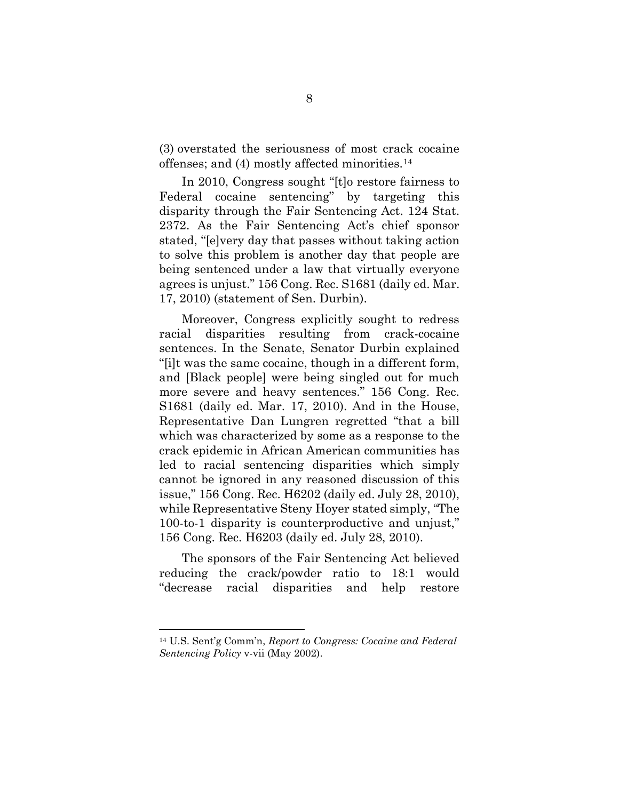(3) overstated the seriousness of most crack cocaine offenses; and (4) mostly affected minorities.[14](#page-15-1)

In 2010, Congress sought "[t]o restore fairness to Federal cocaine sentencing" by targeting this disparity through the Fair Sentencing Act. 124 Stat. 2372. As the Fair Sentencing Act's chief sponsor stated, "[e]very day that passes without taking action to solve this problem is another day that people are being sentenced under a law that virtually everyone agrees is unjust." 156 Cong. Rec. S1681 (daily ed. Mar. 17, 2010) (statement of Sen. Durbin).

Moreover, Congress explicitly sought to redress racial disparities resulting from crack-cocaine sentences. In the Senate, Senator Durbin explained "[i]t was the same cocaine, though in a different form, and [Black people] were being singled out for much more severe and heavy sentences." 156 Cong. Rec. S1681 (daily ed. Mar. 17, 2010). And in the House, Representative Dan Lungren regretted "that a bill which was characterized by some as a response to the crack epidemic in African American communities has led to racial sentencing disparities which simply cannot be ignored in any reasoned discussion of this issue," 156 Cong. Rec. H6202 (daily ed. July 28, 2010), while Representative Steny Hoyer stated simply, "The 100-to-1 disparity is counterproductive and unjust," 156 Cong. Rec. H6203 (daily ed. July 28, 2010).

<span id="page-14-0"></span>The sponsors of the Fair Sentencing Act believed reducing the crack/powder ratio to 18:1 would "decrease racial disparities and help restore

<sup>14</sup> U.S. Sent'g Comm'n, *Report to Congress: Cocaine and Federal Sentencing Policy* v-vii (May 2002).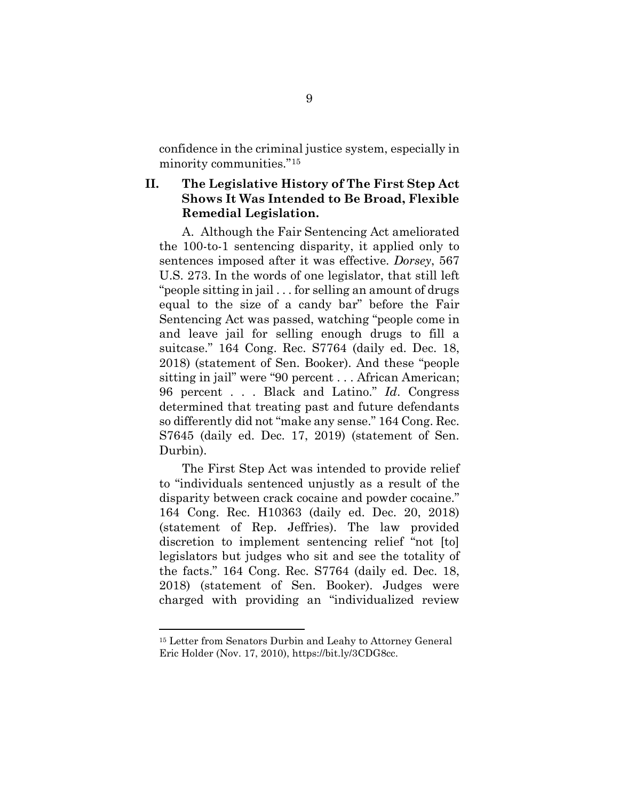confidence in the criminal justice system, especially in minority communities."[15](#page-16-0)

## <span id="page-15-0"></span>**II. The Legislative History of The First Step Act Shows It Was Intended to Be Broad, Flexible Remedial Legislation.**

A. Although the Fair Sentencing Act ameliorated the 100-to-1 sentencing disparity, it applied only to sentences imposed after it was effective. *Dorsey*, 567 U.S. 273. In the words of one legislator, that still left "people sitting in jail . . . for selling an amount of drugs equal to the size of a candy bar" before the Fair Sentencing Act was passed, watching "people come in and leave jail for selling enough drugs to fill a suitcase." 164 Cong. Rec. S7764 (daily ed. Dec. 18, 2018) (statement of Sen. Booker). And these "people sitting in jail" were "90 percent . . . African American; 96 percent . . . Black and Latino." *Id*. Congress determined that treating past and future defendants so differently did not "make any sense." 164 Cong. Rec. S7645 (daily ed. Dec. 17, 2019) (statement of Sen. Durbin).

The First Step Act was intended to provide relief to "individuals sentenced unjustly as a result of the disparity between crack cocaine and powder cocaine." 164 Cong. Rec. H10363 (daily ed. Dec. 20, 2018) (statement of Rep. Jeffries). The law provided discretion to implement sentencing relief "not [to] legislators but judges who sit and see the totality of the facts." 164 Cong. Rec. S7764 (daily ed. Dec. 18, 2018) (statement of Sen. Booker). Judges were charged with providing an "individualized review

<span id="page-15-1"></span><sup>15</sup> Letter from Senators Durbin and Leahy to Attorney General Eric Holder (Nov. 17, 2010), https://bit.ly/3CDG8cc.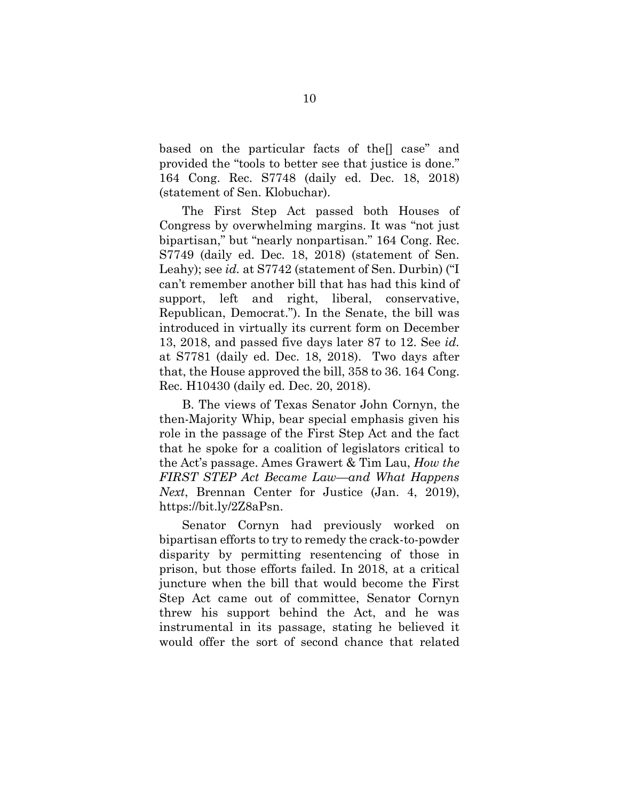based on the particular facts of the[] case" and provided the "tools to better see that justice is done." 164 Cong. Rec. S7748 (daily ed. Dec. 18, 2018) (statement of Sen. Klobuchar).

The First Step Act passed both Houses of Congress by overwhelming margins. It was "not just bipartisan," but "nearly nonpartisan." 164 Cong. Rec. S7749 (daily ed. Dec. 18, 2018) (statement of Sen. Leahy); see *id.* at S7742 (statement of Sen. Durbin) ("I can't remember another bill that has had this kind of support, left and right, liberal, conservative, Republican, Democrat."). In the Senate, the bill was introduced in virtually its current form on December 13, 2018, and passed five days later 87 to 12. See *id.*  at S7781 (daily ed. Dec. 18, 2018). Two days after that, the House approved the bill, 358 to 36. 164 Cong. Rec. H10430 (daily ed. Dec. 20, 2018).

B. The views of Texas Senator John Cornyn, the then-Majority Whip, bear special emphasis given his role in the passage of the First Step Act and the fact that he spoke for a coalition of legislators critical to the Act's passage. Ames Grawert & Tim Lau, *How the FIRST STEP Act Became Law—and What Happens Next*, Brennan Center for Justice (Jan. 4, 2019), https://bit.ly/2Z8aPsn.

<span id="page-16-0"></span>Senator Cornyn had previously worked on bipartisan efforts to try to remedy the crack-to-powder disparity by permitting resentencing of those in prison, but those efforts failed. In 2018, at a critical juncture when the bill that would become the First Step Act came out of committee, Senator Cornyn threw his support behind the Act, and he was instrumental in its passage, stating he believed it would offer the sort of second chance that related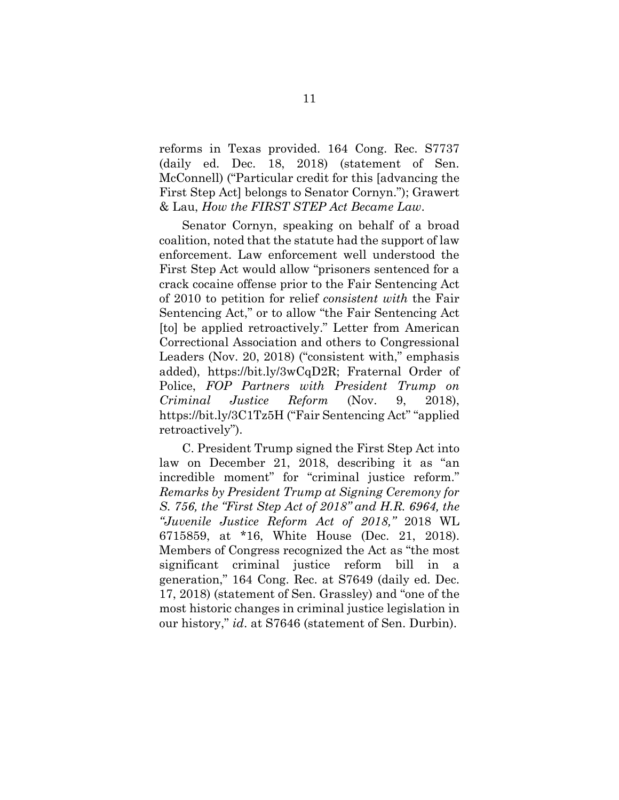reforms in Texas provided. 164 Cong. Rec. S7737 (daily ed. Dec. 18, 2018) (statement of Sen. McConnell) ("Particular credit for this [advancing the First Step Act] belongs to Senator Cornyn."); Grawert & Lau, *How the FIRST STEP Act Became Law*.

Senator Cornyn, speaking on behalf of a broad coalition, noted that the statute had the support of law enforcement. Law enforcement well understood the First Step Act would allow "prisoners sentenced for a crack cocaine offense prior to the Fair Sentencing Act of 2010 to petition for relief *consistent with* the Fair Sentencing Act," or to allow "the Fair Sentencing Act [to] be applied retroactively." Letter from American Correctional Association and others to Congressional Leaders (Nov. 20, 2018) ("consistent with," emphasis added), https://bit.ly/3wCqD2R; Fraternal Order of Police, *FOP Partners with President Trump on Criminal Justice Reform* (Nov. 9, 2018), https://bit.ly/3C1Tz5H ("Fair Sentencing Act" "applied retroactively").

C. President Trump signed the First Step Act into law on December 21, 2018, describing it as "an incredible moment" for "criminal justice reform." *Remarks by President Trump at Signing Ceremony for S. 756, the "First Step Act of 2018" and H.R. 6964, the "Juvenile Justice Reform Act of 2018,"* 2018 WL 6715859, at \*16, White House (Dec. 21, 2018). Members of Congress recognized the Act as "the most significant criminal justice reform bill in a generation," 164 Cong. Rec. at S7649 (daily ed. Dec. 17, 2018) (statement of Sen. Grassley) and "one of the most historic changes in criminal justice legislation in our history," *id*. at S7646 (statement of Sen. Durbin).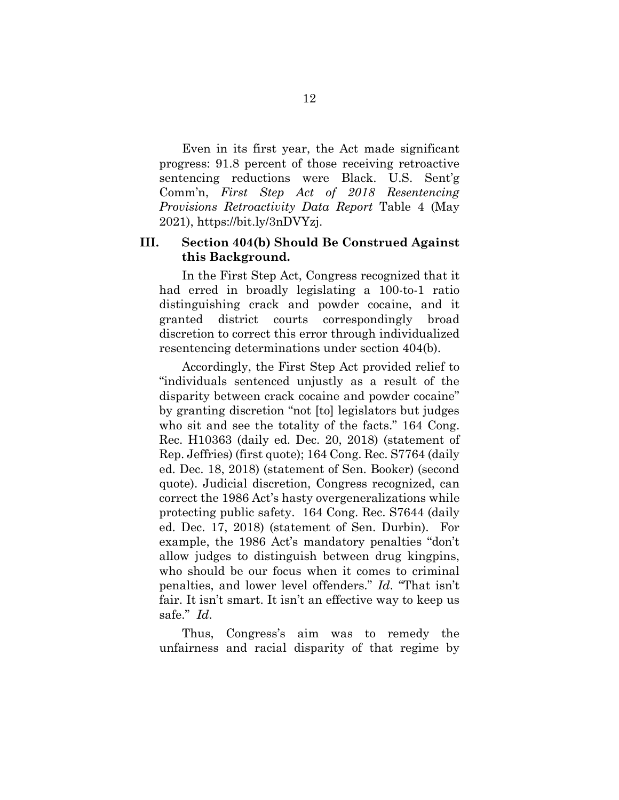Even in its first year, the Act made significant progress: 91.8 percent of those receiving retroactive sentencing reductions were Black. U.S. Sent'g Comm'n, *First Step Act of 2018 Resentencing Provisions Retroactivity Data Report* Table 4 (May 2021), https://bit.ly/3nDVYzj.

## <span id="page-18-0"></span>**III. Section 404(b) Should Be Construed Against this Background.**

In the First Step Act, Congress recognized that it had erred in broadly legislating a 100-to-1 ratio distinguishing crack and powder cocaine, and it granted district courts correspondingly broad discretion to correct this error through individualized resentencing determinations under section 404(b).

Accordingly, the First Step Act provided relief to "individuals sentenced unjustly as a result of the disparity between crack cocaine and powder cocaine" by granting discretion "not [to] legislators but judges who sit and see the totality of the facts." 164 Cong. Rec. H10363 (daily ed. Dec. 20, 2018) (statement of Rep. Jeffries) (first quote); 164 Cong. Rec. S7764 (daily ed. Dec. 18, 2018) (statement of Sen. Booker) (second quote). Judicial discretion, Congress recognized, can correct the 1986 Act's hasty overgeneralizations while protecting public safety. 164 Cong. Rec. S7644 (daily ed. Dec. 17, 2018) (statement of Sen. Durbin). For example, the 1986 Act's mandatory penalties "don't allow judges to distinguish between drug kingpins, who should be our focus when it comes to criminal penalties, and lower level offenders." *Id*. "That isn't fair. It isn't smart. It isn't an effective way to keep us safe." *Id*.

Thus, Congress's aim was to remedy the unfairness and racial disparity of that regime by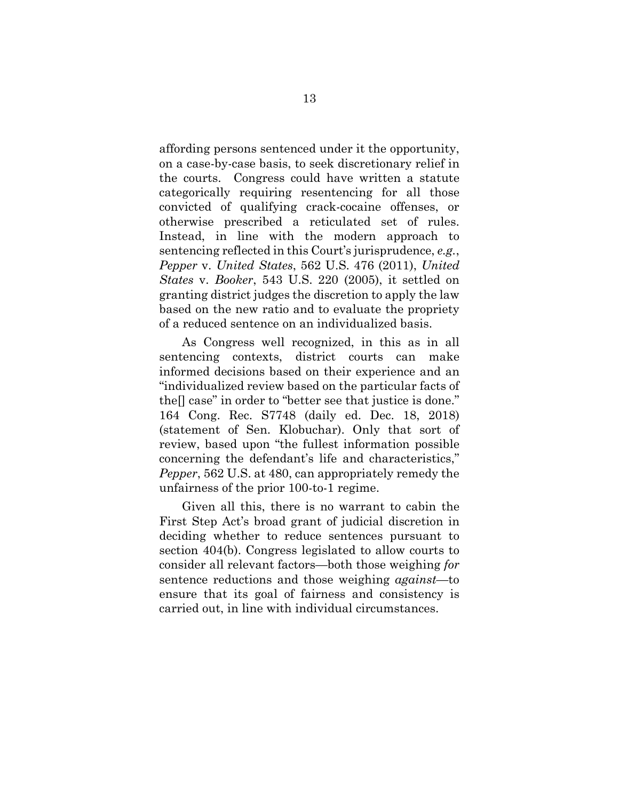affording persons sentenced under it the opportunity, on a case-by-case basis, to seek discretionary relief in the courts. Congress could have written a statute categorically requiring resentencing for all those convicted of qualifying crack-cocaine offenses, or otherwise prescribed a reticulated set of rules. Instead, in line with the modern approach to sentencing reflected in this Court's jurisprudence, *e.g.*, *Pepper* v. *United States*, 562 U.S. 476 (2011), *United States* v. *Booker*, 543 U.S. 220 (2005), it settled on granting district judges the discretion to apply the law based on the new ratio and to evaluate the propriety of a reduced sentence on an individualized basis.

As Congress well recognized, in this as in all sentencing contexts, district courts can make informed decisions based on their experience and an "individualized review based on the particular facts of the[] case" in order to "better see that justice is done." 164 Cong. Rec. S7748 (daily ed. Dec. 18, 2018) (statement of Sen. Klobuchar). Only that sort of review, based upon "the fullest information possible concerning the defendant's life and characteristics," *Pepper*, 562 U.S. at 480, can appropriately remedy the unfairness of the prior 100-to-1 regime.

Given all this, there is no warrant to cabin the First Step Act's broad grant of judicial discretion in deciding whether to reduce sentences pursuant to section 404(b). Congress legislated to allow courts to consider all relevant factors—both those weighing *for* sentence reductions and those weighing *against*—to ensure that its goal of fairness and consistency is carried out, in line with individual circumstances.